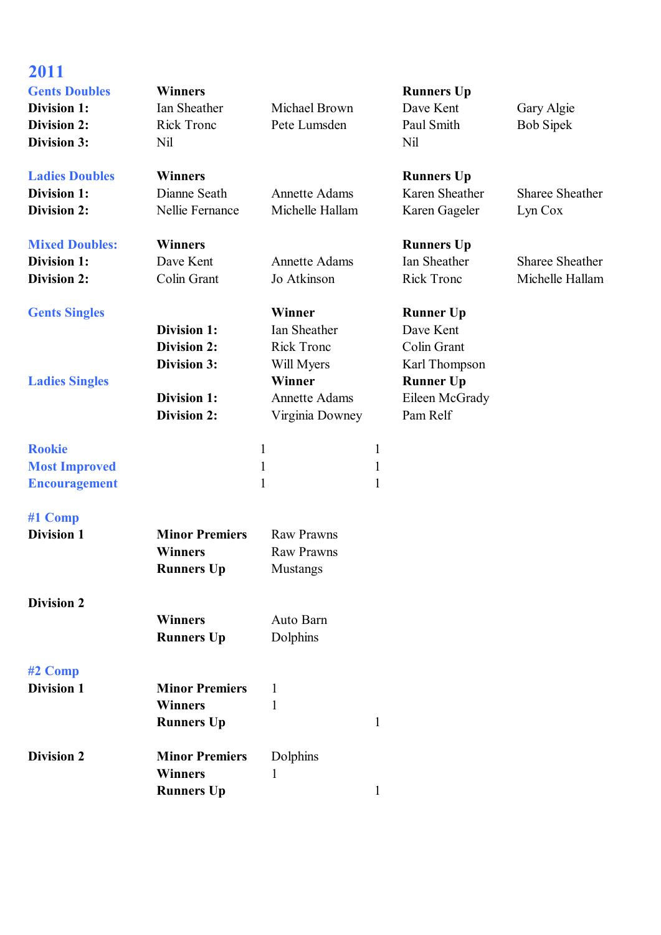| 2011<br><b>Gents Doubles</b><br><b>Division 1:</b><br><b>Division 2:</b><br>Division 3: | <b>Winners</b><br>Ian Sheather<br><b>Rick Tronc</b><br>Nil                                                 | Michael Brown<br>Pete Lumsden                                                                                         |                                   | <b>Runners Up</b><br>Dave Kent<br>Paul Smith<br>Nil                                                             | Gary Algie<br><b>Bob Sipek</b>            |
|-----------------------------------------------------------------------------------------|------------------------------------------------------------------------------------------------------------|-----------------------------------------------------------------------------------------------------------------------|-----------------------------------|-----------------------------------------------------------------------------------------------------------------|-------------------------------------------|
| <b>Ladies Doubles</b><br>Division 1:<br><b>Division 2:</b>                              | <b>Winners</b><br>Dianne Seath<br>Nellie Fernance                                                          | <b>Annette Adams</b><br>Michelle Hallam                                                                               |                                   | <b>Runners Up</b><br>Karen Sheather<br>Karen Gageler                                                            | <b>Sharee Sheather</b><br>Lyn Cox         |
| <b>Mixed Doubles:</b><br><b>Division 1:</b><br><b>Division 2:</b>                       | <b>Winners</b><br>Dave Kent<br>Colin Grant                                                                 | <b>Annette Adams</b><br>Jo Atkinson                                                                                   |                                   | <b>Runners Up</b><br>Ian Sheather<br><b>Rick Tronc</b>                                                          | <b>Sharee Sheather</b><br>Michelle Hallam |
| <b>Gents Singles</b><br><b>Ladies Singles</b>                                           | <b>Division 1:</b><br><b>Division 2:</b><br><b>Division 3:</b><br><b>Division 1:</b><br><b>Division 2:</b> | Winner<br><b>Ian Sheather</b><br><b>Rick Tronc</b><br>Will Myers<br>Winner<br><b>Annette Adams</b><br>Virginia Downey |                                   | <b>Runner Up</b><br>Dave Kent<br>Colin Grant<br>Karl Thompson<br><b>Runner Up</b><br>Eileen McGrady<br>Pam Relf |                                           |
| <b>Rookie</b><br><b>Most Improved</b><br><b>Encouragement</b>                           |                                                                                                            | $\mathbf{1}$<br>$\mathbf{1}$<br>$\mathbf{1}$                                                                          | $\mathbf{1}$<br>$\mathbf{1}$<br>1 |                                                                                                                 |                                           |
| #1 Comp<br><b>Division 1</b>                                                            | <b>Minor Premiers</b><br><b>Winners</b><br><b>Runners Up</b>                                               | <b>Raw Prawns</b><br><b>Raw Prawns</b><br>Mustangs                                                                    |                                   |                                                                                                                 |                                           |
| <b>Division 2</b>                                                                       | <b>Winners</b><br><b>Runners Up</b>                                                                        | Auto Barn<br>Dolphins                                                                                                 |                                   |                                                                                                                 |                                           |
| #2 Comp<br><b>Division 1</b>                                                            | <b>Minor Premiers</b><br><b>Winners</b><br><b>Runners Up</b>                                               | 1<br>$\mathbf{1}$                                                                                                     | $\mathbf{1}$                      |                                                                                                                 |                                           |
| <b>Division 2</b>                                                                       | <b>Minor Premiers</b><br><b>Winners</b><br><b>Runners Up</b>                                               | Dolphins<br>1                                                                                                         | $\mathbf{1}$                      |                                                                                                                 |                                           |